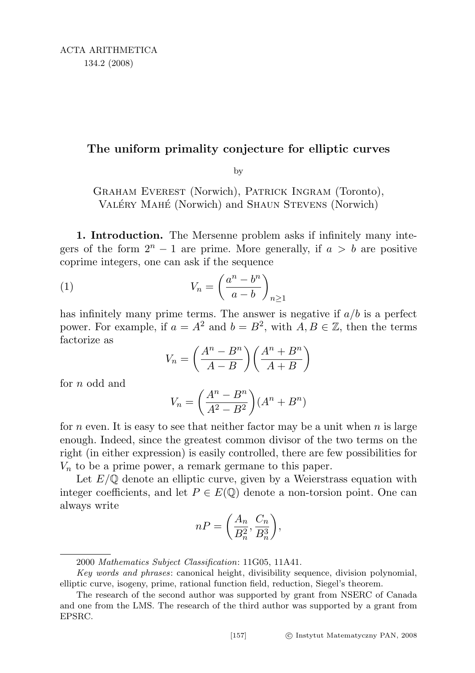## The uniform primality conjecture for elliptic curves

by

Graham Everest (Norwich), Patrick Ingram (Toronto), VALÉRY MAHÉ (Norwich) and SHAUN STEVENS (Norwich)

1. Introduction. The Mersenne problem asks if infinitely many integers of the form  $2^n - 1$  are prime. More generally, if  $a > b$  are positive coprime integers, one can ask if the sequence

$$
(1) \tV_n = \left(\frac{a^n - b^n}{a - b}\right)_{n \ge 1}
$$

has infinitely many prime terms. The answer is negative if  $a/b$  is a perfect power. For example, if  $a = A^2$  and  $b = B^2$ , with  $A, B \in \mathbb{Z}$ , then the terms factorize as

$$
V_n = \left(\frac{A^n - B^n}{A - B}\right) \left(\frac{A^n + B^n}{A + B}\right)
$$

for *n* odd and

$$
V_n = \left(\frac{A^n - B^n}{A^2 - B^2}\right)(A^n + B^n)
$$

for n even. It is easy to see that neither factor may be a unit when  $n$  is large enough. Indeed, since the greatest common divisor of the two terms on the right (in either expression) is easily controlled, there are few possibilities for  $V_n$  to be a prime power, a remark germane to this paper.

Let  $E/\mathbb{Q}$  denote an elliptic curve, given by a Weierstrass equation with integer coefficients, and let  $P \in E(\mathbb{Q})$  denote a non-torsion point. One can always write

$$
nP = \left(\frac{A_n}{B_n^2}, \frac{C_n}{B_n^3}\right),\
$$

<sup>2000</sup> Mathematics Subject Classification: 11G05, 11A41.

Key words and phrases: canonical height, divisibility sequence, division polynomial, elliptic curve, isogeny, prime, rational function field, reduction, Siegel's theorem.

The research of the second author was supported by grant from NSERC of Canada and one from the LMS. The research of the third author was supported by a grant from EPSRC.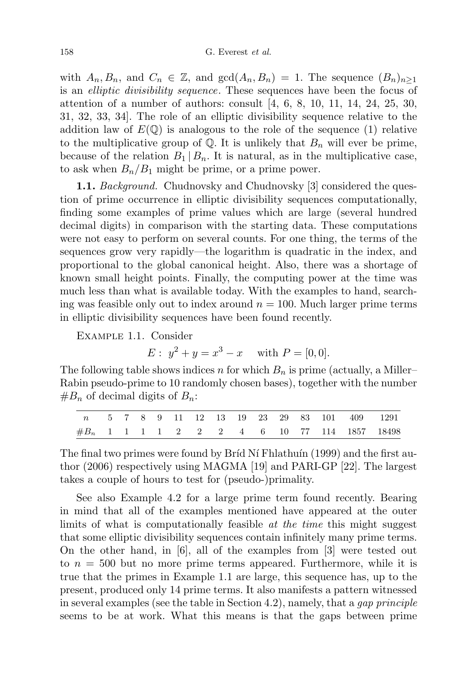with  $A_n, B_n$ , and  $C_n \in \mathbb{Z}$ , and  $gcd(A_n, B_n) = 1$ . The sequence  $(B_n)_{n \geq 1}$ is an elliptic divisibility sequence. These sequences have been the focus of attention of a number of authors: consult  $[4, 6, 8, 10, 11, 14, 24, 25, 30,$ 31, 32, 33, 34]. The role of an elliptic divisibility sequence relative to the addition law of  $E(\mathbb{Q})$  is analogous to the role of the sequence (1) relative to the multiplicative group of  $\mathbb{Q}$ . It is unlikely that  $B_n$  will ever be prime, because of the relation  $B_1 | B_n$ . It is natural, as in the multiplicative case, to ask when  $B_n/B_1$  might be prime, or a prime power.

**1.1.** Background. Chudnovsky and Chudnovsky [3] considered the question of prime occurrence in elliptic divisibility sequences computationally, finding some examples of prime values which are large (several hundred decimal digits) in comparison with the starting data. These computations were not easy to perform on several counts. For one thing, the terms of the sequences grow very rapidly—the logarithm is quadratic in the index, and proportional to the global canonical height. Also, there was a shortage of known small height points. Finally, the computing power at the time was much less than what is available today. With the examples to hand, searching was feasible only out to index around  $n = 100$ . Much larger prime terms in elliptic divisibility sequences have been found recently.

Example 1.1. Consider

 $E: y^2 + y = x^3 - x$  with  $P = [0, 0].$ 

The following table shows indices n for which  $B_n$  is prime (actually, a Miller– Rabin pseudo-prime to 10 randomly chosen bases), together with the number  $#B_n$  of decimal digits of  $B_n$ :

|  |  |  |  |  |  |  | n 5 7 8 9 11 12 13 19 23 29 83 101 409 1291    |
|--|--|--|--|--|--|--|------------------------------------------------|
|  |  |  |  |  |  |  | $\#B_n$ 1 1 1 1 2 2 2 4 6 10 77 114 1857 18498 |

The final two primes were found by Bríd Ní Fhlathuín (1999) and the first author (2006) respectively using MAGMA [19] and PARI-GP [22]. The largest takes a couple of hours to test for (pseudo-)primality.

See also Example 4.2 for a large prime term found recently. Bearing in mind that all of the examples mentioned have appeared at the outer limits of what is computationally feasible *at the time* this might suggest that some elliptic divisibility sequences contain infinitely many prime terms. On the other hand, in [6], all of the examples from [3] were tested out to  $n = 500$  but no more prime terms appeared. Furthermore, while it is true that the primes in Example 1.1 are large, this sequence has, up to the present, produced only 14 prime terms. It also manifests a pattern witnessed in several examples (see the table in Section 4.2), namely, that a *gap principle* seems to be at work. What this means is that the gaps between prime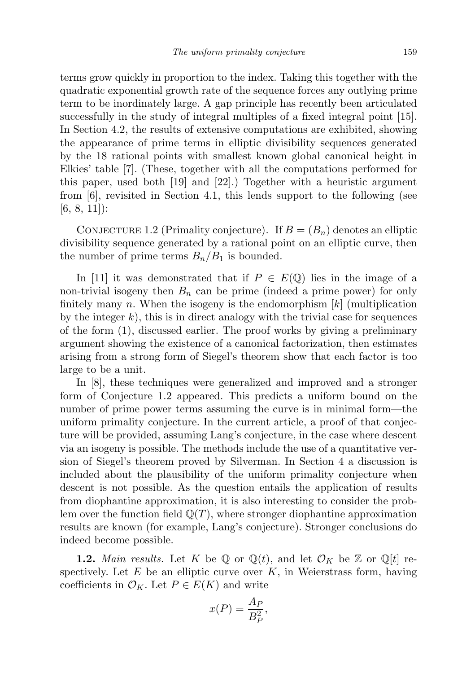terms grow quickly in proportion to the index. Taking this together with the quadratic exponential growth rate of the sequence forces any outlying prime term to be inordinately large. A gap principle has recently been articulated successfully in the study of integral multiples of a fixed integral point [15]. In Section 4.2, the results of extensive computations are exhibited, showing the appearance of prime terms in elliptic divisibility sequences generated by the 18 rational points with smallest known global canonical height in Elkies' table [7]. (These, together with all the computations performed for this paper, used both [19] and [22].) Together with a heuristic argument from [6], revisited in Section 4.1, this lends support to the following (see  $[6, 8, 11]$ :

CONJECTURE 1.2 (Primality conjecture). If  $B = (B_n)$  denotes an elliptic divisibility sequence generated by a rational point on an elliptic curve, then the number of prime terms  $B_n/B_1$  is bounded.

In [11] it was demonstrated that if  $P \in E(\mathbb{Q})$  lies in the image of a non-trivial isogeny then  $B_n$  can be prime (indeed a prime power) for only finitely many n. When the isogeny is the endomorphism  $[k]$  (multiplication by the integer  $k$ ), this is in direct analogy with the trivial case for sequences of the form (1), discussed earlier. The proof works by giving a preliminary argument showing the existence of a canonical factorization, then estimates arising from a strong form of Siegel's theorem show that each factor is too large to be a unit.

In [8], these techniques were generalized and improved and a stronger form of Conjecture 1.2 appeared. This predicts a uniform bound on the number of prime power terms assuming the curve is in minimal form—the uniform primality conjecture. In the current article, a proof of that conjecture will be provided, assuming Lang's conjecture, in the case where descent via an isogeny is possible. The methods include the use of a quantitative version of Siegel's theorem proved by Silverman. In Section 4 a discussion is included about the plausibility of the uniform primality conjecture when descent is not possible. As the question entails the application of results from diophantine approximation, it is also interesting to consider the problem over the function field  $\mathbb{Q}(T)$ , where stronger diophantine approximation results are known (for example, Lang's conjecture). Stronger conclusions do indeed become possible.

**1.2.** Main results. Let K be Q or  $\mathbb{Q}(t)$ , and let  $\mathcal{O}_K$  be Z or  $\mathbb{Q}[t]$  respectively. Let  $E$  be an elliptic curve over  $K$ , in Weierstrass form, having coefficients in  $\mathcal{O}_K$ . Let  $P \in E(K)$  and write

$$
x(P) = \frac{A_P}{B_P^2},
$$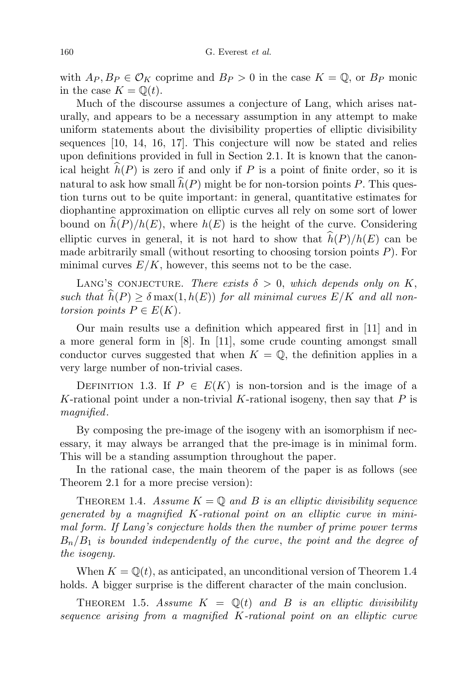with  $A_P, B_P \in \mathcal{O}_K$  coprime and  $B_P > 0$  in the case  $K = \mathbb{Q}$ , or  $B_P$  monic in the case  $K = \mathbb{Q}(t)$ .

Much of the discourse assumes a conjecture of Lang, which arises naturally, and appears to be a necessary assumption in any attempt to make uniform statements about the divisibility properties of elliptic divisibility sequences [10, 14, 16, 17]. This conjecture will now be stated and relies upon definitions provided in full in Section 2.1. It is known that the canonical height  $\widehat{h}(P)$  is zero if and only if P is a point of finite order, so it is natural to ask how small  $\hat{h}(P)$  might be for non-torsion points P. This question turns out to be quite important: in general, quantitative estimates for diophantine approximation on elliptic curves all rely on some sort of lower bound on  $\widehat{h}(P)/h(E)$ , where  $h(E)$  is the height of the curve. Considering elliptic curves in general, it is not hard to show that  $\widehat{h}(P)/h(E)$  can be made arbitrarily small (without resorting to choosing torsion points  $P$ ). For minimal curves  $E/K$ , however, this seems not to be the case.

LANG'S CONJECTURE. There exists  $\delta > 0$ , which depends only on K, such that  $\widehat{h}(P) \geq \delta \max(1, h(E))$  for all minimal curves  $E/K$  and all nontorsion points  $P \in E(K)$ .

Our main results use a definition which appeared first in [11] and in a more general form in [8]. In [11], some crude counting amongst small conductor curves suggested that when  $K = \mathbb{Q}$ , the definition applies in a very large number of non-trivial cases.

DEFINITION 1.3. If  $P \in E(K)$  is non-torsion and is the image of a K-rational point under a non-trivial K-rational isogeny, then say that  $P$  is magnified.

By composing the pre-image of the isogeny with an isomorphism if necessary, it may always be arranged that the pre-image is in minimal form. This will be a standing assumption throughout the paper.

In the rational case, the main theorem of the paper is as follows (see Theorem 2.1 for a more precise version):

THEOREM 1.4. Assume  $K = \mathbb{Q}$  and B is an elliptic divisibility sequence generated by a magnified K-rational point on an elliptic curve in minimal form. If Lang's conjecture holds then the number of prime power terms  $B_n/B_1$  is bounded independently of the curve, the point and the degree of the isogeny.

When  $K = \mathbb{Q}(t)$ , as anticipated, an unconditional version of Theorem 1.4 holds. A bigger surprise is the different character of the main conclusion.

THEOREM 1.5. Assume  $K = \mathbb{Q}(t)$  and B is an elliptic divisibility sequence arising from a magnified K-rational point on an elliptic curve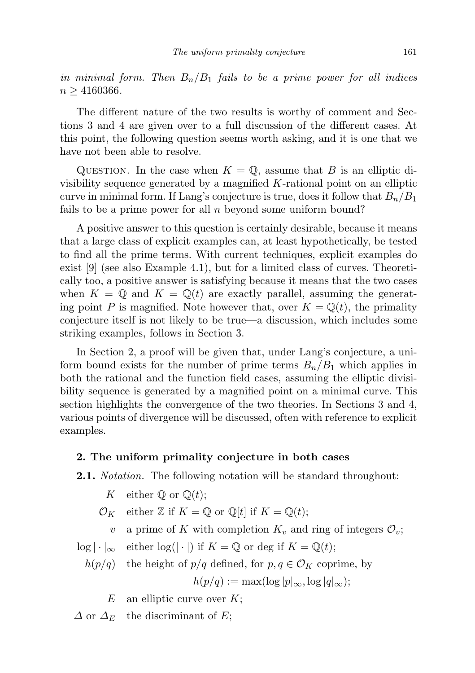in minimal form. Then  $B_n/B_1$  fails to be a prime power for all indices  $n \geq 4160366$ .

The different nature of the two results is worthy of comment and Sections 3 and 4 are given over to a full discussion of the different cases. At this point, the following question seems worth asking, and it is one that we have not been able to resolve.

QUESTION. In the case when  $K = \mathbb{Q}$ , assume that B is an elliptic divisibility sequence generated by a magnified  $K$ -rational point on an elliptic curve in minimal form. If Lang's conjecture is true, does it follow that  $B_n/B_1$ fails to be a prime power for all  $n$  beyond some uniform bound?

A positive answer to this question is certainly desirable, because it means that a large class of explicit examples can, at least hypothetically, be tested to find all the prime terms. With current techniques, explicit examples do exist [9] (see also Example 4.1), but for a limited class of curves. Theoretically too, a positive answer is satisfying because it means that the two cases when  $K = \mathbb{Q}$  and  $K = \mathbb{Q}(t)$  are exactly parallel, assuming the generating point P is magnified. Note however that, over  $K = \mathbb{Q}(t)$ , the primality conjecture itself is not likely to be true—a discussion, which includes some striking examples, follows in Section 3.

In Section 2, a proof will be given that, under Lang's conjecture, a uniform bound exists for the number of prime terms  $B_n/B_1$  which applies in both the rational and the function field cases, assuming the elliptic divisibility sequence is generated by a magnified point on a minimal curve. This section highlights the convergence of the two theories. In Sections 3 and 4, various points of divergence will be discussed, often with reference to explicit examples.

## 2. The uniform primality conjecture in both cases

**2.1.** *Notation*. The following notation will be standard throughout:

K either  $\mathbb Q$  or  $\mathbb Q(t)$ ;

 $\mathcal{O}_K$  either Z if  $K = \mathbb{Q}$  or  $\mathbb{Q}[t]$  if  $K = \mathbb{Q}(t)$ ;

v a prime of K with completion  $K_v$  and ring of integers  $\mathcal{O}_v$ ;

 $\log |\cdot|_{\infty}$  either  $\log(|\cdot|)$  if  $K = \mathbb{Q}$  or deg if  $K = \mathbb{Q}(t)$ ;

$$
h(p/q) \quad \text{the height of } p/q \text{ defined, for } p, q \in \mathcal{O}_K \text{ coprime, by}
$$
\n
$$
h(p/q) := \max(\log |p|_{\infty}, \log |q|_{\infty});
$$

 $E$  an elliptic curve over  $K$ ;

 $\Delta$  or  $\Delta_E$  the discriminant of E;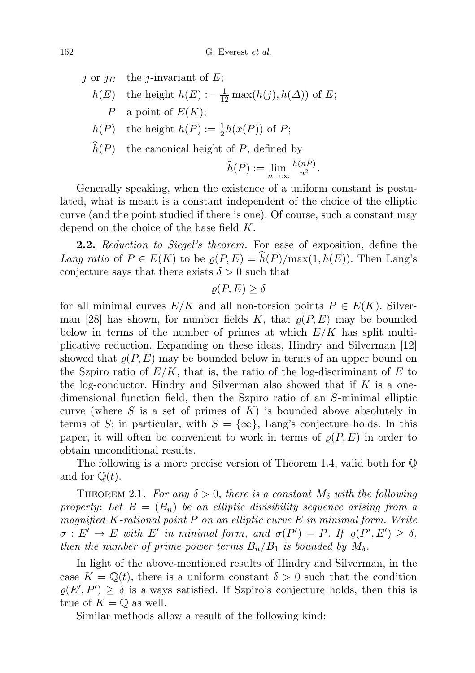j or  $j_E$  the j-invariant of E;  $h(E)$  the height  $h(E) := \frac{1}{12} \max(h(j), h(\Delta))$  of E; P a point of  $E(K)$ ;  $h(P)$  the height  $h(P) := \frac{1}{2}h(x(P))$  of P;

 $\widehat{h}(P)$  the canonical height of P, defined by

$$
\widehat{h}(P) := \lim_{n \to \infty} \frac{h(nP)}{n^2}.
$$

Generally speaking, when the existence of a uniform constant is postulated, what is meant is a constant independent of the choice of the elliptic curve (and the point studied if there is one). Of course, such a constant may depend on the choice of the base field K.

**2.2.** Reduction to Siegel's theorem. For ease of exposition, define the Lang ratio of  $P \in E(K)$  to be  $\varrho(P, E) = \widehat{h}(P)/\max(1, h(E))$ . Then Lang's conjecture says that there exists  $\delta>0$  such that

 $\rho(P, E) > \delta$ 

for all minimal curves  $E/K$  and all non-torsion points  $P \in E(K)$ . Silverman [28] has shown, for number fields K, that  $\rho(P, E)$  may be bounded below in terms of the number of primes at which  $E/K$  has split multiplicative reduction. Expanding on these ideas, Hindry and Silverman [12] showed that  $\rho(P, E)$  may be bounded below in terms of an upper bound on the Szpiro ratio of  $E/K$ , that is, the ratio of the log-discriminant of E to the log-conductor. Hindry and Silverman also showed that if  $K$  is a onedimensional function field, then the Szpiro ratio of an S-minimal elliptic curve (where S is a set of primes of  $K$ ) is bounded above absolutely in terms of S; in particular, with  $S = \{\infty\}$ , Lang's conjecture holds. In this paper, it will often be convenient to work in terms of  $\rho(P, E)$  in order to obtain unconditional results.

The following is a more precise version of Theorem 1.4, valid both for Q and for  $\mathbb{Q}(t)$ .

THEOREM 2.1. For any  $\delta > 0$ , there is a constant  $M_{\delta}$  with the following property: Let  $B = (B_n)$  be an elliptic divisibility sequence arising from a magnified  $K$ -rational point  $P$  on an elliptic curve  $E$  in minimal form. Write  $\sigma: E' \to E$  with E' in minimal form, and  $\sigma(P') = P$ . If  $\rho(P', E') \geq \delta$ , then the number of prime power terms  $B_n/B_1$  is bounded by  $M_\delta$ .

In light of the above-mentioned results of Hindry and Silverman, in the case  $K = \mathbb{Q}(t)$ , there is a uniform constant  $\delta > 0$  such that the condition  $\rho(E', P') \geq \delta$  is always satisfied. If Szpiro's conjecture holds, then this is true of  $K = \mathbb{Q}$  as well.

Similar methods allow a result of the following kind: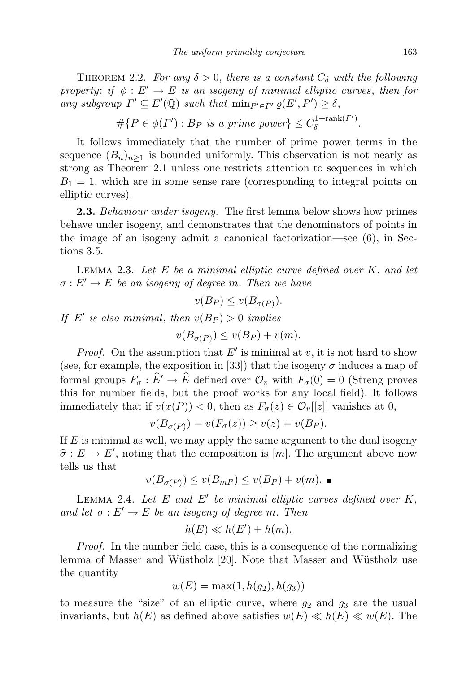THEOREM 2.2. For any  $\delta > 0$ , there is a constant  $C_{\delta}$  with the following property: if  $\phi : E' \to E$  is an isogeny of minimal elliptic curves, then for any subgroup  $\Gamma' \subseteq E'(\mathbb{Q})$  such that  $\min_{P' \in \Gamma'} \varrho(E', P') \geq \delta$ ,

$$
\#\{P \in \phi(\Gamma'): B_P \text{ is a prime power}\} \leq C_{\delta}^{1+\text{rank}(\Gamma')}.
$$

It follows immediately that the number of prime power terms in the sequence  $(B_n)_{n\geq 1}$  is bounded uniformly. This observation is not nearly as strong as Theorem 2.1 unless one restricts attention to sequences in which  $B_1 = 1$ , which are in some sense rare (corresponding to integral points on elliptic curves).

**2.3.** Behaviour under isogeny. The first lemma below shows how primes behave under isogeny, and demonstrates that the denominators of points in the image of an isogeny admit a canonical factorization—see (6), in Sections 3.5.

LEMMA 2.3. Let  $E$  be a minimal elliptic curve defined over  $K$ , and let  $\sigma: E' \to E$  be an isogeny of degree m. Then we have

$$
v(B_P) \le v(B_{\sigma(P)}).
$$

If E' is also minimal, then  $v(B_P) > 0$  implies

$$
v(B_{\sigma(P)}) \le v(B_P) + v(m).
$$

*Proof.* On the assumption that  $E'$  is minimal at v, it is not hard to show (see, for example, the exposition in [33]) that the isogeny  $\sigma$  induces a map of formal groups  $F_{\sigma} : \widehat{E} \to \widehat{E}$  defined over  $\mathcal{O}_v$  with  $F_{\sigma}(0) = 0$  (Streng proves this for number fields, but the proof works for any local field). It follows immediately that if  $v(x(P)) < 0$ , then as  $F_{\sigma}(z) \in \mathcal{O}_{v}[[z]]$  vanishes at 0,

$$
v(B_{\sigma(P)}) = v(F_{\sigma}(z)) \ge v(z) = v(B_P).
$$

If  $E$  is minimal as well, we may apply the same argument to the dual isogeny  $\hat{\sigma}: E \to E'$ , noting that the composition is  $[m]$ . The argument above now tells us that

$$
v(B_{\sigma(P)}) \le v(B_{mP}) \le v(B_P) + v(m).
$$

LEMMA 2.4. Let  $E$  and  $E'$  be minimal elliptic curves defined over  $K$ , and let  $\sigma : E' \to E$  be an isogeny of degree m. Then

$$
h(E) \ll h(E') + h(m).
$$

Proof. In the number field case, this is a consequence of the normalizing lemma of Masser and Wüstholz [20]. Note that Masser and Wüstholz use the quantity

$$
w(E) = \max(1, h(g_2), h(g_3))
$$

to measure the "size" of an elliptic curve, where  $g_2$  and  $g_3$  are the usual invariants, but  $h(E)$  as defined above satisfies  $w(E) \ll h(E) \ll w(E)$ . The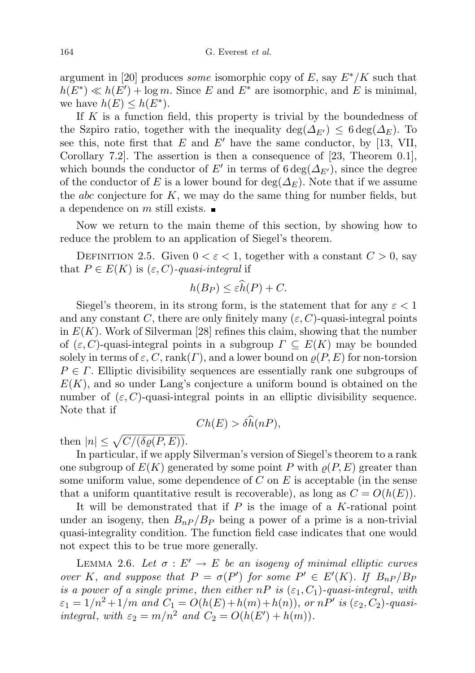argument in [20] produces *some* isomorphic copy of E, say  $E^*/K$  such that  $h(E^*) \ll h(E') + \log m$ . Since E and E<sup>\*</sup> are isomorphic, and E is minimal, we have  $h(E) \leq h(E^*)$ .

If  $K$  is a function field, this property is trivial by the boundedness of the Szpiro ratio, together with the inequality deg( $\Delta_{E'}$ ) ≤ 6 deg( $\Delta_E$ ). To see this, note first that E and E' have the same conductor, by [13, VII, Corollary 7.2]. The assertion is then a consequence of [23, Theorem 0.1], which bounds the conductor of E' in terms of  $6 \deg(\Delta_{E'})$ , since the degree of the conductor of E is a lower bound for deg( $\Delta_E$ ). Note that if we assume the *abc* conjecture for  $K$ , we may do the same thing for number fields, but a dependence on  $m$  still exists.  $\blacksquare$ 

Now we return to the main theme of this section, by showing how to reduce the problem to an application of Siegel's theorem.

DEFINITION 2.5. Given  $0 < \varepsilon < 1$ , together with a constant  $C > 0$ , say that  $P \in E(K)$  is  $(\varepsilon, C)$ -quasi-integral if

$$
h(B_P) \leq \varepsilon \widehat{h}(P) + C.
$$

Siegel's theorem, in its strong form, is the statement that for any  $\varepsilon < 1$ and any constant C, there are only finitely many  $(\varepsilon, C)$ -quasi-integral points in  $E(K)$ . Work of Silverman [28] refines this claim, showing that the number of  $(\varepsilon, C)$ -quasi-integral points in a subgroup  $\Gamma \subseteq E(K)$  may be bounded solely in terms of  $\varepsilon$ ,  $C$ , rank $(\Gamma)$ , and a lower bound on  $\rho(P, E)$  for non-torsion  $P \in \Gamma$ . Elliptic divisibility sequences are essentially rank one subgroups of  $E(K)$ , and so under Lang's conjecture a uniform bound is obtained on the number of  $(\varepsilon, C)$ -quasi-integral points in an elliptic divisibility sequence. Note that if

$$
Ch(E) > \delta \widehat{h}(nP),
$$

then  $|n| \leq \sqrt{C/(\delta \varrho(P,E))}$ .

In particular, if we apply Silverman's version of Siegel's theorem to a rank one subgroup of  $E(K)$  generated by some point P with  $\varrho(P, E)$  greater than some uniform value, some dependence of  $C$  on  $E$  is acceptable (in the sense that a uniform quantitative result is recoverable), as long as  $C = O(h(E)).$ 

It will be demonstrated that if  $P$  is the image of a K-rational point under an isogeny, then  $B_{nP}/B_P$  being a power of a prime is a non-trivial quasi-integrality condition. The function field case indicates that one would not expect this to be true more generally.

LEMMA 2.6. Let  $\sigma : E' \to E$  be an isogeny of minimal elliptic curves over K, and suppose that  $P = \sigma(P')$  for some  $P' \in E'(K)$ . If  $B_{nP}/B_F$ is a power of a single prime, then either  $nP$  is  $(\varepsilon_1, C_1)$ -quasi-integral, with  $\varepsilon_1 = 1/n^2 + 1/m$  and  $C_1 = O(h(E) + h(m) + h(n))$ , or  $nP'$  is  $(\varepsilon_2, C_2)$ -quasiintegral, with  $\varepsilon_2 = m/n^2$  and  $C_2 = O(h(E') + h(m))$ .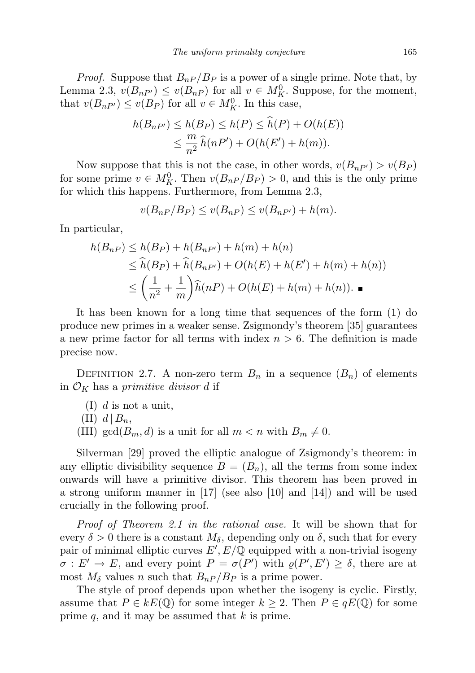*Proof.* Suppose that  $B_{nP}/B_P$  is a power of a single prime. Note that, by Lemma 2.3,  $v(B_{nP'}) \le v(B_{nP})$  for all  $v \in M_K^0$ . Suppose, for the moment, that  $v(B_{nP'}) \le v(B_P)$  for all  $v \in M_K^0$ . In this case,

$$
h(B_{nP'}) \le h(B_P) \le h(P) \le h(P) + O(h(E))
$$
  

$$
\le \frac{m}{n^2} \widehat{h}(nP') + O(h(E') + h(m)).
$$

Now suppose that this is not the case, in other words,  $v(B_{nP'}) > v(B_P)$ for some prime  $v \in M_K^0$ . Then  $v(B_{nP}/B_P) > 0$ , and this is the only prime for which this happens. Furthermore, from Lemma 2.3,

$$
v(B_{nP}/B_P) \le v(B_{nP}) \le v(B_{nP'}) + h(m).
$$

In particular,

$$
h(B_{nP}) \le h(B_P) + h(B_{nP'}) + h(m) + h(n)
$$
  
\n
$$
\le \widehat{h}(B_P) + \widehat{h}(B_{nP'}) + O(h(E) + h(E') + h(m) + h(n))
$$
  
\n
$$
\le \left(\frac{1}{n^2} + \frac{1}{m}\right)\widehat{h}(nP) + O(h(E) + h(m) + h(n)).
$$

It has been known for a long time that sequences of the form (1) do produce new primes in a weaker sense. Zsigmondy's theorem [35] guarantees a new prime factor for all terms with index  $n > 6$ . The definition is made precise now.

DEFINITION 2.7. A non-zero term  $B_n$  in a sequence  $(B_n)$  of elements in  $\mathcal{O}_K$  has a primitive divisor d if

- $(I)$  d is not a unit,
- $(II)$  d  $|B_n,$
- (III) gcd( $B_m$ , d) is a unit for all  $m < n$  with  $B_m \neq 0$ .

Silverman [29] proved the elliptic analogue of Zsigmondy's theorem: in any elliptic divisibility sequence  $B = (B_n)$ , all the terms from some index onwards will have a primitive divisor. This theorem has been proved in a strong uniform manner in [17] (see also [10] and [14]) and will be used crucially in the following proof.

Proof of Theorem 2.1 in the rational case. It will be shown that for every  $\delta > 0$  there is a constant  $M_{\delta}$ , depending only on  $\delta$ , such that for every pair of minimal elliptic curves  $E', E/\mathbb{Q}$  equipped with a non-trivial isogeny  $\sigma: E' \to E$ , and every point  $P = \sigma(P')$  with  $\rho(P', E') \geq \delta$ , there are at most  $M_{\delta}$  values n such that  $B_{nP}/B_{P}$  is a prime power.

The style of proof depends upon whether the isogeny is cyclic. Firstly, assume that  $P \in kE(\mathbb{Q})$  for some integer  $k \geq 2$ . Then  $P \in qE(\mathbb{Q})$  for some prime  $q$ , and it may be assumed that  $k$  is prime.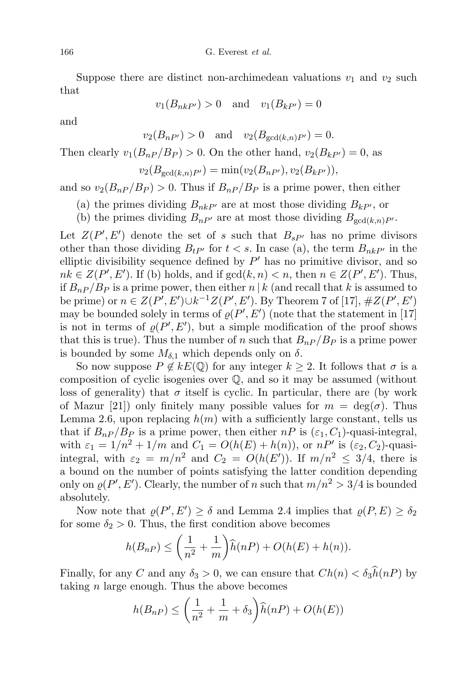Suppose there are distinct non-archimedean valuations  $v_1$  and  $v_2$  such that

$$
v_1(B_{nkP'}) > 0 \quad \text{and} \quad v_1(B_{kP'}) = 0
$$

and

 $v_2(B_{nP'}) > 0$  and  $v_2(B_{\gcd(k,n)P'}) = 0.$ 

Then clearly  $v_1(B_{nP}/B_P) > 0$ . On the other hand,  $v_2(B_{kP'}) = 0$ , as

$$
v_2(B_{\gcd(k,n)P'}) = \min(v_2(B_{nP'}), v_2(B_{kP'})),
$$

and so  $v_2(B_{nP}/B_P) > 0$ . Thus if  $B_{nP}/B_P$  is a prime power, then either

- (a) the primes dividing  $B_{nkP'}$  are at most those dividing  $B_{kP'}$ , or
- (b) the primes dividing  $B_{nP'}$  are at most those dividing  $B_{gcd(k,n)P'}$ .

Let  $Z(P', E')$  denote the set of s such that  $B_{sP'}$  has no prime divisors other than those dividing  $B_{tP'}$  for  $t < s$ . In case (a), the term  $B_{nkP'}$  in the elliptic divisibility sequence defined by  $P'$  has no primitive divisor, and so  $nk \in Z(P', E')$ . If (b) holds, and if  $gcd(k, n) < n$ , then  $n \in Z(P', E')$ . Thus, if  $B_{nP}/B_P$  is a prime power, then either n | k (and recall that k is assumed to be prime) or  $n \in Z(P', E') \cup k^{-1} Z(P', E')$ . By Theorem 7 of [17],  $\# Z(P', E')$ may be bounded solely in terms of  $\rho(P', E')$  (note that the statement in [17] is not in terms of  $\varrho(P', E')$ , but a simple modification of the proof shows that this is true). Thus the number of n such that  $B_{nP}/B_P$  is a prime power is bounded by some  $M_{\delta,1}$  which depends only on  $\delta$ .

So now suppose  $P \notin kE(\mathbb{Q})$  for any integer  $k \geq 2$ . It follows that  $\sigma$  is a composition of cyclic isogenies over Q, and so it may be assumed (without loss of generality) that  $\sigma$  itself is cyclic. In particular, there are (by work of Mazur [21]) only finitely many possible values for  $m = \deg(\sigma)$ . Thus Lemma 2.6, upon replacing  $h(m)$  with a sufficiently large constant, tells us that if  $B_{nP}/B_P$  is a prime power, then either  $nP$  is  $(\varepsilon_1, C_1)$ -quasi-integral, with  $\varepsilon_1 = 1/n^2 + 1/m$  and  $C_1 = O(h(E) + h(n))$ , or  $nP'$  is  $(\varepsilon_2, C_2)$ -quasiintegral, with  $\varepsilon_2 = m/n^2$  and  $C_2 = O(h(E'))$ . If  $m/n^2 \leq 3/4$ , there is a bound on the number of points satisfying the latter condition depending only on  $\rho(P', E')$ . Clearly, the number of n such that  $m/n^2 > 3/4$  is bounded absolutely.

Now note that  $\varrho(P', E') \geq \delta$  and Lemma 2.4 implies that  $\varrho(P, E) \geq \delta_2$ for some  $\delta_2 > 0$ . Thus, the first condition above becomes

$$
h(B_{nP}) \le \left(\frac{1}{n^2} + \frac{1}{m}\right)\widehat{h}(nP) + O(h(E) + h(n)).
$$

Finally, for any C and any  $\delta_3 > 0$ , we can ensure that  $Ch(n) < \delta_3 h(n)$  by taking  $n$  large enough. Thus the above becomes

$$
h(B_{nP}) \le \left(\frac{1}{n^2} + \frac{1}{m} + \delta_3\right) \widehat{h}(nP) + O(h(E))
$$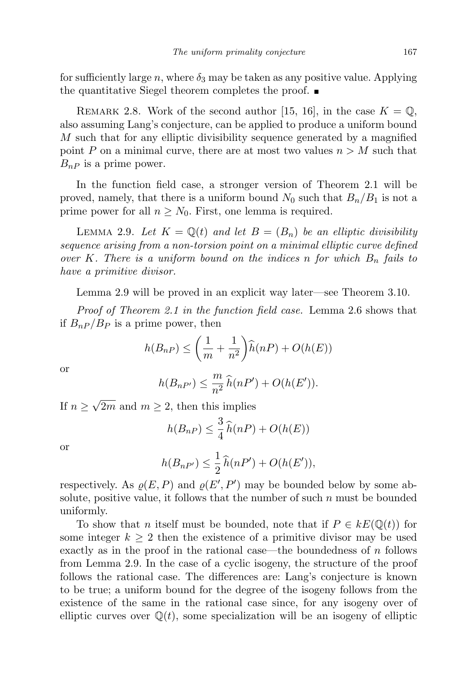for sufficiently large n, where  $\delta_3$  may be taken as any positive value. Applying the quantitative Siegel theorem completes the proof.

REMARK 2.8. Work of the second author [15, 16], in the case  $K = \mathbb{Q}$ , also assuming Lang's conjecture, can be applied to produce a uniform bound M such that for any elliptic divisibility sequence generated by a magnified point P on a minimal curve, there are at most two values  $n > M$  such that  $B_{nP}$  is a prime power.

In the function field case, a stronger version of Theorem 2.1 will be proved, namely, that there is a uniform bound  $N_0$  such that  $B_n/B_1$  is not a prime power for all  $n \geq N_0$ . First, one lemma is required.

LEMMA 2.9. Let  $K = \mathbb{Q}(t)$  and let  $B = (B_n)$  be an elliptic divisibility sequence arising from a non-torsion point on a minimal elliptic curve defined over K. There is a uniform bound on the indices n for which  $B_n$  fails to have a primitive divisor.

Lemma 2.9 will be proved in an explicit way later—see Theorem 3.10.

Proof of Theorem 2.1 in the function field case. Lemma 2.6 shows that if  $B_{nP}/B_P$  is a prime power, then

$$
h(B_{nP}) \le \left(\frac{1}{m} + \frac{1}{n^2}\right)\widehat{h}(nP) + O(h(E))
$$

or

$$
h(B_{nP'}) \leq \frac{m}{n^2} \widehat{h}(nP') + O(h(E')).
$$

If  $n \geq$ √ 2m and  $m \geq 2$ , then this implies

$$
h(B_{nP}) \leq \frac{3}{4}\widehat{h}(nP) + O(h(E))
$$

or

$$
h(B_{nP'}) \leq \frac{1}{2}\widehat{h}(nP') + O(h(E')),
$$

respectively. As  $\rho(E, P)$  and  $\rho(E', P')$  may be bounded below by some absolute, positive value, it follows that the number of such  $n$  must be bounded uniformly.

To show that n itself must be bounded, note that if  $P \in kE(\mathbb{Q}(t))$  for some integer  $k \geq 2$  then the existence of a primitive divisor may be used exactly as in the proof in the rational case—the boundedness of  $n$  follows from Lemma 2.9. In the case of a cyclic isogeny, the structure of the proof follows the rational case. The differences are: Lang's conjecture is known to be true; a uniform bound for the degree of the isogeny follows from the existence of the same in the rational case since, for any isogeny over of elliptic curves over  $\mathbb{Q}(t)$ , some specialization will be an isogeny of elliptic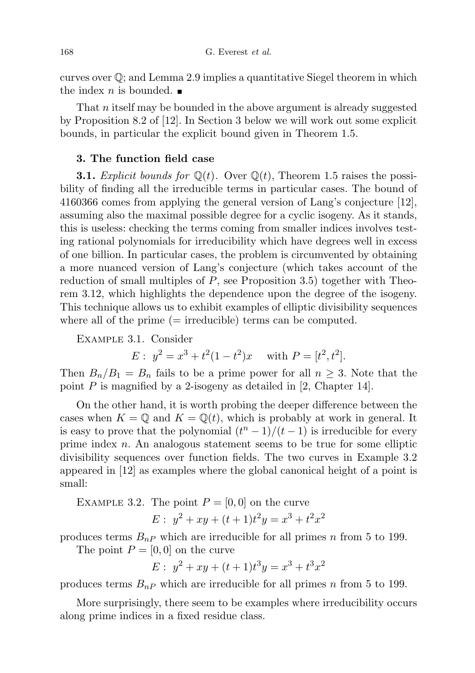curves over Q; and Lemma 2.9 implies a quantitative Siegel theorem in which the index *n* is bounded.

That n itself may be bounded in the above argument is already suggested by Proposition 8.2 of [12]. In Section 3 below we will work out some explicit bounds, in particular the explicit bound given in Theorem 1.5.

## 3. The function field case

**3.1.** Explicit bounds for  $\mathbb{Q}(t)$ . Over  $\mathbb{Q}(t)$ , Theorem 1.5 raises the possibility of finding all the irreducible terms in particular cases. The bound of 4160366 comes from applying the general version of Lang's conjecture [12], assuming also the maximal possible degree for a cyclic isogeny. As it stands, this is useless: checking the terms coming from smaller indices involves testing rational polynomials for irreducibility which have degrees well in excess of one billion. In particular cases, the problem is circumvented by obtaining a more nuanced version of Lang's conjecture (which takes account of the reduction of small multiples of  $P$ , see Proposition 3.5) together with Theorem 3.12, which highlights the dependence upon the degree of the isogeny. This technique allows us to exhibit examples of elliptic divisibility sequences where all of the prime  $(=$  irreducible) terms can be computed.

Example 3.1. Consider

$$
E: y^2 = x^3 + t^2(1 - t^2)x \quad \text{with } P = [t^2, t^2].
$$

Then  $B_n/B_1 = B_n$  fails to be a prime power for all  $n \geq 3$ . Note that the point  $P$  is magnified by a 2-isogeny as detailed in [2, Chapter 14].

On the other hand, it is worth probing the deeper difference between the cases when  $K = \mathbb{Q}$  and  $K = \mathbb{Q}(t)$ , which is probably at work in general. It is easy to prove that the polynomial  $(t^{n}-1)/(t-1)$  is irreducible for every prime index  $n$ . An analogous statement seems to be true for some elliptic divisibility sequences over function fields. The two curves in Example 3.2 appeared in [12] as examples where the global canonical height of a point is small:

EXAMPLE 3.2. The point  $P = [0, 0]$  on the curve

$$
E: y^2 + xy + (t+1)t^2y = x^3 + t^2x^2
$$

produces terms  $B_{nP}$  which are irreducible for all primes n from 5 to 199.

The point  $P = [0, 0]$  on the curve

$$
E: y^2 + xy + (t+1)t^3y = x^3 + t^3x^2
$$

produces terms  $B_{nP}$  which are irreducible for all primes n from 5 to 199.

More surprisingly, there seem to be examples where irreducibility occurs along prime indices in a fixed residue class.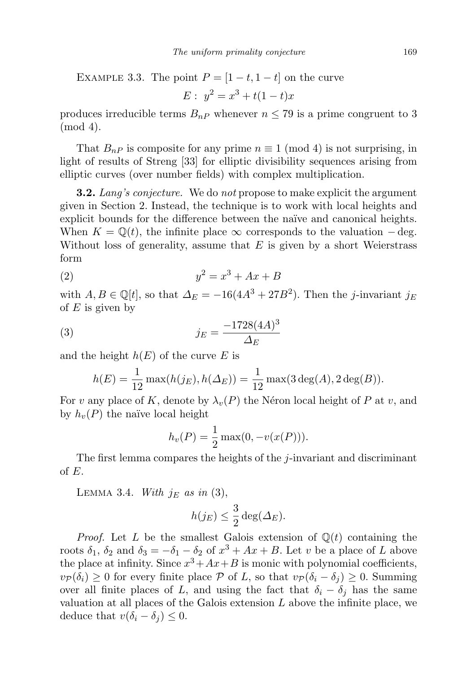EXAMPLE 3.3. The point  $P = \begin{bmatrix} 1-t, 1-t \end{bmatrix}$  on the curve

$$
E: y^2 = x^3 + t(1-t)x
$$

produces irreducible terms  $B_{nP}$  whenever  $n \leq 79$  is a prime congruent to 3 (mod 4).

That  $B_{nP}$  is composite for any prime  $n \equiv 1 \pmod{4}$  is not surprising, in light of results of Streng [33] for elliptic divisibility sequences arising from elliptic curves (over number fields) with complex multiplication.

**3.2.** Lang's conjecture. We do not propose to make explicit the argument given in Section 2. Instead, the technique is to work with local heights and explicit bounds for the difference between the naïve and canonical heights. When  $K = \mathbb{Q}(t)$ , the infinite place  $\infty$  corresponds to the valuation – deg. Without loss of generality, assume that  $E$  is given by a short Weierstrass form

$$
(2) \t\t y^2 = x^3 + Ax + B
$$

with  $A, B \in \mathbb{Q}[t]$ , so that  $\Delta_E = -16(4A^3 + 27B^2)$ . Then the j-invariant  $j_E$ of  $E$  is given by

(3) 
$$
j_E = \frac{-1728(4A)^3}{\Delta_E}
$$

and the height  $h(E)$  of the curve E is

$$
h(E) = \frac{1}{12} \max(h(j_E), h(\Delta_E)) = \frac{1}{12} \max(3 \deg(A), 2 \deg(B)).
$$

For v any place of K, denote by  $\lambda_v(P)$  the Néron local height of P at v, and by  $h_v(P)$  the naïve local height

$$
h_v(P) = \frac{1}{2} \max(0, -v(x(P))).
$$

The first lemma compares the heights of the  $i$ -invariant and discriminant of E.

LEMMA 3.4. With  $j_E$  as in (3),

$$
h(j_E) \leq \frac{3}{2} \deg(\Delta_E).
$$

*Proof.* Let L be the smallest Galois extension of  $\mathbb{Q}(t)$  containing the roots  $\delta_1$ ,  $\delta_2$  and  $\delta_3 = -\delta_1 - \delta_2$  of  $x^3 + Ax + B$ . Let v be a place of L above the place at infinity. Since  $x^3 + Ax + B$  is monic with polynomial coefficients,  $v_{\mathcal{P}}(\delta_i) \geq 0$  for every finite place  $\mathcal P$  of L, so that  $v_{\mathcal{P}}(\delta_i - \delta_i) \geq 0$ . Summing over all finite places of L, and using the fact that  $\delta_i - \delta_j$  has the same valuation at all places of the Galois extension  $L$  above the infinite place, we deduce that  $v(\delta_i - \delta_j) \leq 0$ .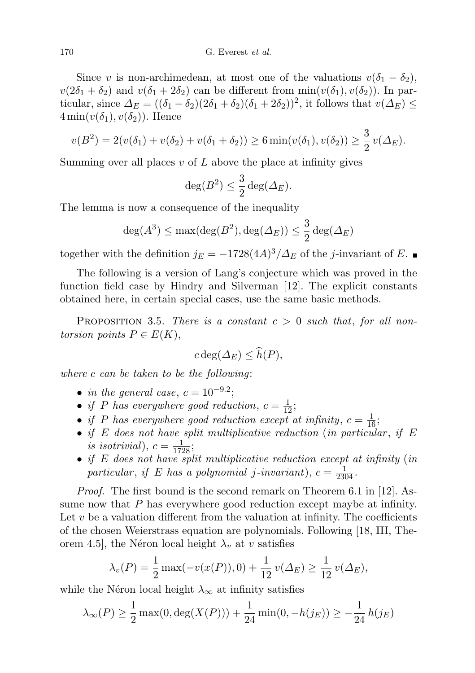Since v is non-archimedean, at most one of the valuations  $v(\delta_1 - \delta_2)$ ,  $v(2\delta_1 + \delta_2)$  and  $v(\delta_1 + 2\delta_2)$  can be different from  $\min(v(\delta_1), v(\delta_2))$ . In particular, since  $\Delta_E = ((\delta_1 - \delta_2)(2\delta_1 + \delta_2)(\delta_1 + 2\delta_2))^2$ , it follows that  $v(\Delta_E) \le$  $4\min(v(\delta_1), v(\delta_2))$ . Hence

$$
v(B^2) = 2(v(\delta_1) + v(\delta_2) + v(\delta_1 + \delta_2)) \ge 6 \min(v(\delta_1), v(\delta_2)) \ge \frac{3}{2} v(\Delta_E).
$$

Summing over all places  $v$  of  $L$  above the place at infinity gives

$$
\deg(B^2) \leq \frac{3}{2} \deg(\varDelta_E).
$$

The lemma is now a consequence of the inequality

$$
\deg(A^3) \le \max(\deg(B^2), \deg(\varDelta_E)) \le \frac{3}{2} \deg(\varDelta_E)
$$

together with the definition  $j_E = -1728(4A)^3/\Delta_E$  of the j-invariant of E.

The following is a version of Lang's conjecture which was proved in the function field case by Hindry and Silverman [12]. The explicit constants obtained here, in certain special cases, use the same basic methods.

PROPOSITION 3.5. There is a constant  $c > 0$  such that, for all nontorsion points  $P \in E(K)$ ,

$$
c \deg(\Delta_E) \leq \widehat{h}(P),
$$

where c can be taken to be the following:

- in the general case,  $c = 10^{-9.2}$ ;
- if P has everywhere good reduction,  $c = \frac{1}{12}$ ;
- if P has everywhere good reduction except at infinity,  $c = \frac{1}{16}$ ;
- if E does not have split multiplicative reduction (in particular, if  $E$ is isotrivial),  $c = \frac{1}{1728}$ ;
- if E does not have split multiplicative reduction except at infinity (in particular, if E has a polynomial j-invariant),  $c = \frac{1}{2304}$ .

Proof. The first bound is the second remark on Theorem 6.1 in [12]. Assume now that  $P$  has everywhere good reduction except maybe at infinity. Let  $v$  be a valuation different from the valuation at infinity. The coefficients of the chosen Weierstrass equation are polynomials. Following [18, III, Theorem 4.5], the Néron local height  $\lambda_v$  at v satisfies

$$
\lambda_v(P) = \frac{1}{2} \max(-v(x(P)), 0) + \frac{1}{12} v(\Delta_E) \ge \frac{1}{12} v(\Delta_E),
$$

while the Néron local height  $\lambda_{\infty}$  at infinity satisfies

$$
\lambda_{\infty}(P) \ge \frac{1}{2} \max(0, \deg(X(P))) + \frac{1}{24} \min(0, -h(j_E)) \ge -\frac{1}{24} h(j_E)
$$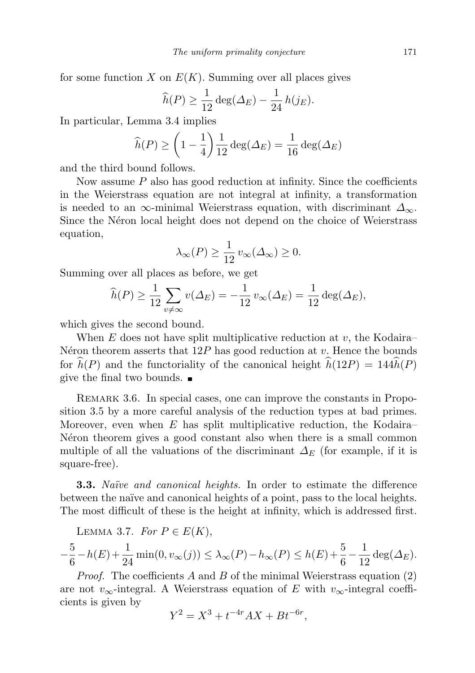for some function X on  $E(K)$ . Summing over all places gives

$$
\widehat{h}(P) \ge \frac{1}{12} \deg(\Delta_E) - \frac{1}{24} h(j_E).
$$

In particular, Lemma 3.4 implies

$$
\widehat{h}(P) \ge \left(1 - \frac{1}{4}\right) \frac{1}{12} \deg(\Delta_E) = \frac{1}{16} \deg(\Delta_E)
$$

and the third bound follows.

Now assume  $P$  also has good reduction at infinity. Since the coefficients in the Weierstrass equation are not integral at infinity, a transformation is needed to an  $\infty$ -minimal Weierstrass equation, with discriminant  $\Delta_{\infty}$ . Since the Néron local height does not depend on the choice of Weierstrass equation,

$$
\lambda_{\infty}(P) \ge \frac{1}{12} \, v_{\infty}(\Delta_{\infty}) \ge 0.
$$

Summing over all places as before, we get

$$
\widehat{h}(P) \ge \frac{1}{12} \sum_{v \ne \infty} v(\Delta_E) = -\frac{1}{12} v_{\infty}(\Delta_E) = \frac{1}{12} \deg(\Delta_E),
$$

which gives the second bound.

When  $E$  does not have split multiplicative reduction at  $v$ , the Kodaira– N $\acute{e}$ ron theorem asserts that 12P has good reduction at v. Hence the bounds for  $\hat{h}(P)$  and the functoriality of the canonical height  $\hat{h}(12P) = 144\hat{h}(P)$ give the final two bounds.  $\blacksquare$ 

REMARK 3.6. In special cases, one can improve the constants in Proposition 3.5 by a more careful analysis of the reduction types at bad primes. Moreover, even when  $E$  has split multiplicative reduction, the Kodaira– N<sub>eron</sub> theorem gives a good constant also when there is a small common multiple of all the valuations of the discriminant  $\Delta_E$  (for example, if it is square-free).

**3.3.** Naïve and canonical heights. In order to estimate the difference between the naïve and canonical heights of a point, pass to the local heights. The most difficult of these is the height at infinity, which is addressed first.

LEMMA 3.7. For  $P \in E(K)$ ,

$$
-\frac{5}{6} - h(E) + \frac{1}{24} \min(0, v_{\infty}(j)) \le \lambda_{\infty}(P) - h_{\infty}(P) \le h(E) + \frac{5}{6} - \frac{1}{12} \deg(\Delta_E).
$$

*Proof.* The coefficients A and B of the minimal Weierstrass equation  $(2)$ are not v<sub>∞</sub>-integral. A Weierstrass equation of E with v<sub>∞</sub>-integral coefficients is given by

$$
Y^2 = X^3 + t^{-4r}AX + Bt^{-6r},
$$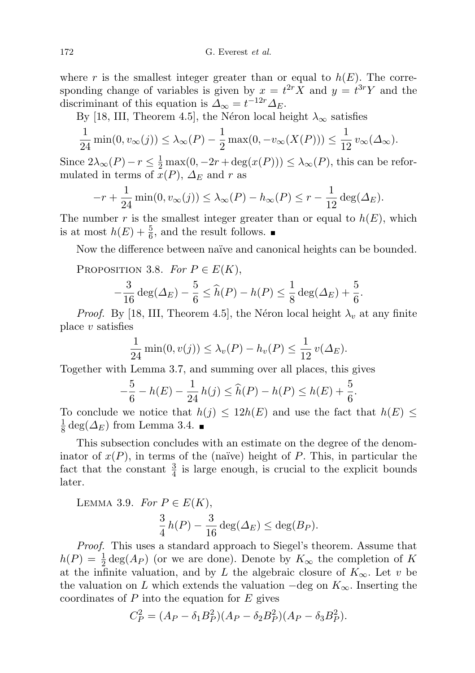where r is the smallest integer greater than or equal to  $h(E)$ . The corresponding change of variables is given by  $x = t^{2r} X$  and  $y = t^{3r} Y$  and the discriminant of this equation is  $\Delta_{\infty} = t^{-12r} \Delta_E$ .

By [18, III, Theorem 4.5], the Néron local height  $\lambda_{\infty}$  satisfies

$$
\frac{1}{24}\min(0, v_{\infty}(j)) \leq \lambda_{\infty}(P) - \frac{1}{2}\max(0, -v_{\infty}(X(P))) \leq \frac{1}{12}v_{\infty}(\Delta_{\infty}).
$$

Since  $2\lambda_{\infty}(P) - r \leq \frac{1}{2} \max(0, -2r + \deg(x(P))) \leq \lambda_{\infty}(P)$ , this can be reformulated in terms of  $x(P)$ ,  $\Delta_E$  and r as

$$
-r + \frac{1}{24} \min(0, v_{\infty}(j)) \leq \lambda_{\infty}(P) - h_{\infty}(P) \leq r - \frac{1}{12} \deg(\Delta_E).
$$

The number r is the smallest integer greater than or equal to  $h(E)$ , which is at most  $h(E) + \frac{5}{6}$ , and the result follows.

Now the difference between naïve and canonical heights can be bounded.

PROPOSITION 3.8. For  $P \in E(K)$ ,

$$
-\frac{3}{16}\deg(\Delta_E) - \frac{5}{6} \le \widehat{h}(P) - h(P) \le \frac{1}{8}\deg(\Delta_E) + \frac{5}{6}.
$$

*Proof.* By [18, III, Theorem 4.5], the Néron local height  $\lambda_v$  at any finite place  $v$  satisfies

$$
\frac{1}{24}\min(0, v(j)) \le \lambda_v(P) - h_v(P) \le \frac{1}{12}v(\Delta_E).
$$

Together with Lemma 3.7, and summing over all places, this gives

$$
-\frac{5}{6} - h(E) - \frac{1}{24}h(j) \le \widehat{h}(P) - h(P) \le h(E) + \frac{5}{6}.
$$

To conclude we notice that  $h(j) \leq 12h(E)$  and use the fact that  $h(E) \leq$ 1  $\frac{1}{8}$  deg( $\Delta_E$ ) from Lemma 3.4.

This subsection concludes with an estimate on the degree of the denominator of  $x(P)$ , in terms of the (naïve) height of P. This, in particular the fact that the constant  $\frac{3}{4}$  is large enough, is crucial to the explicit bounds later.

LEMMA 3.9. For 
$$
P \in E(K)
$$
,  
\n
$$
\frac{3}{4}h(P) - \frac{3}{16}\deg(\Delta_E) \le \deg(B_P).
$$

Proof. This uses a standard approach to Siegel's theorem. Assume that  $h(P) = \frac{1}{2} \deg(A_P)$  (or we are done). Denote by  $K_{\infty}$  the completion of K at the infinite valuation, and by L the algebraic closure of  $K_{\infty}$ . Let v be the valuation on L which extends the valuation  $-\text{deg on } K_{\infty}$ . Inserting the coordinates of  $P$  into the equation for  $E$  gives

$$
C_P^2 = (A_P - \delta_1 B_P^2)(A_P - \delta_2 B_P^2)(A_P - \delta_3 B_P^2).
$$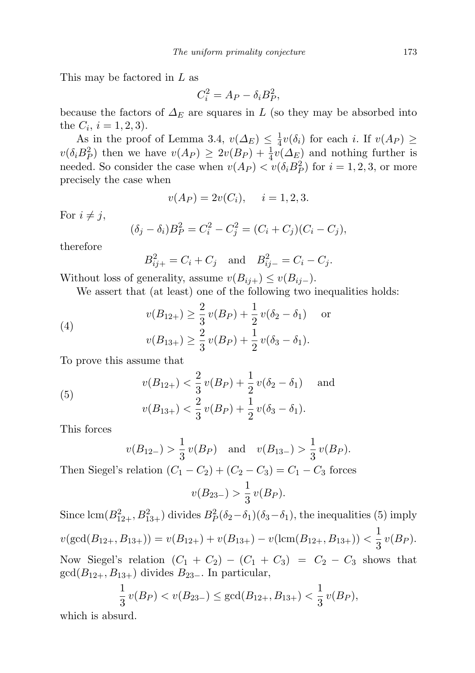This may be factored in L as

$$
C_i^2 = A_P - \delta_i B_P^2,
$$

because the factors of  $\Delta_E$  are squares in L (so they may be absorbed into the  $C_i$ ,  $i = 1, 2, 3$ .

As in the proof of Lemma 3.4,  $v(\Delta_E) \leq \frac{1}{4}$  $\frac{1}{4}v(\delta_i)$  for each *i*. If  $v(A_P) \geq$  $v(\delta_i B_P^2)$  then we have  $v(A_P) \geq 2v(B_P) + \frac{1}{4}v(\Delta_E)$  and nothing further is needed. So consider the case when  $v(A_P) < v(\delta_i B_P^2)$  for  $i = 1, 2, 3$ , or more precisely the case when

$$
v(A_P) = 2v(C_i), \quad i = 1, 2, 3.
$$

For  $i \neq j$ ,

$$
(\delta_j - \delta_i)B_P^2 = C_i^2 - C_j^2 = (C_i + C_j)(C_i - C_j),
$$

therefore

 $B_{ij+}^2 = C_i + C_j$  and  $B_{ij-}^2 = C_i - C_j$ .

Without loss of generality, assume  $v(B_{ij+}) \leq v(B_{ij-})$ .

We assert that (at least) one of the following two inequalities holds:

(4) 
$$
v(B_{12+}) \ge \frac{2}{3}v(B_P) + \frac{1}{2}v(\delta_2 - \delta_1) \text{ or}
$$

$$
v(B_{13+}) \ge \frac{2}{3}v(B_P) + \frac{1}{2}v(\delta_3 - \delta_1).
$$

To prove this assume that

(5) 
$$
v(B_{12+}) < \frac{2}{3}v(B_P) + \frac{1}{2}v(\delta_2 - \delta_1) \text{ and}
$$

$$
v(B_{13+}) < \frac{2}{3}v(B_P) + \frac{1}{2}v(\delta_3 - \delta_1).
$$

This forces

$$
v(B_{12-}) > \frac{1}{3}v(B_P)
$$
 and  $v(B_{13-}) > \frac{1}{3}v(B_P)$ .

Then Siegel's relation  $(C_1 - C_2) + (C_2 - C_3) = C_1 - C_3$  forces

$$
v(B_{23-}) > \frac{1}{3}v(B_P).
$$

Since  $\text{lcm}(B_{12+}^2, B_{13+}^2)$  divides  $B_P^2(\delta_2-\delta_1)(\delta_3-\delta_1)$ , the inequalities (5) imply  $v(\gcd(B_{12+}, B_{13+})) = v(B_{12+}) + v(B_{13+}) - v(\text{lcm}(B_{12+}, B_{13+})) < \frac{1}{2}$  $rac{1}{3}v(B_P).$ Now Siegel's relation  $(C_1 + C_2) - (C_1 + C_3) = C_2 - C_3$  shows that  $gcd(B_{12+}, B_{13+})$  divides  $B_{23-}$ . In particular,

$$
\frac{1}{3}v(B_P) < v(B_{23-}) \le \gcd(B_{12+}, B_{13+}) < \frac{1}{3}v(B_P),
$$

which is absurd.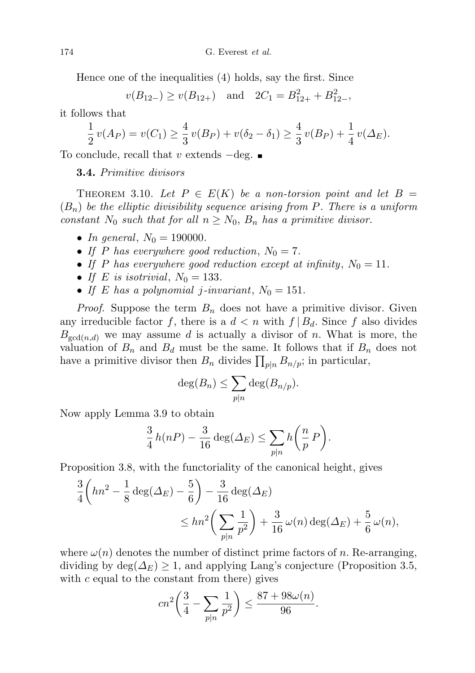Hence one of the inequalities (4) holds, say the first. Since

 $v(B_{12-}) \ge v(B_{12+})$  and  $2C_1 = B_{12+}^2 + B_{12-}^2$ ,

it follows that

$$
\frac{1}{2}v(A_P) = v(C_1) \ge \frac{4}{3}v(B_P) + v(\delta_2 - \delta_1) \ge \frac{4}{3}v(B_P) + \frac{1}{4}v(\Delta_E).
$$

To conclude, recall that v extends  $-\text{deg.}$ 

3.4. Primitive divisors

THEOREM 3.10. Let  $P \in E(K)$  be a non-torsion point and let  $B =$  $(B_n)$  be the elliptic divisibility sequence arising from P. There is a uniform constant  $N_0$  such that for all  $n \ge N_0$ ,  $B_n$  has a primitive divisor.

- In general,  $N_0 = 190000$ .
- If P has everywhere good reduction,  $N_0 = 7$ .
- If P has everywhere good reduction except at infinity,  $N_0 = 11$ .
- If E is isotrivial,  $N_0 = 133$ .
- If E has a polynomial j-invariant,  $N_0 = 151$ .

*Proof.* Suppose the term  $B_n$  does not have a primitive divisor. Given any irreducible factor f, there is a  $d < n$  with  $f | B_d$ . Since f also divides  $B_{\gcd(n,d)}$  we may assume d is actually a divisor of n. What is more, the valuation of  $B_n$  and  $B_d$  must be the same. It follows that if  $B_n$  does not have a primitive divisor then  $B_n$  divides  $\prod_{p|n} B_{n/p}$ ; in particular,

$$
\deg(B_n) \le \sum_{p|n} \deg(B_{n/p}).
$$

Now apply Lemma 3.9 to obtain

$$
\frac{3}{4}h(nP) - \frac{3}{16}\deg(\Delta_E) \le \sum_{p|n} h\bigg(\frac{n}{p}\,P\bigg).
$$

Proposition 3.8, with the functoriality of the canonical height, gives

$$
\frac{3}{4}\left(hn^2 - \frac{1}{8}\deg(\Delta_E) - \frac{5}{6}\right) - \frac{3}{16}\deg(\Delta_E)
$$
  

$$
\leq hn^2\left(\sum_{p|n}\frac{1}{p^2}\right) + \frac{3}{16}\omega(n)\deg(\Delta_E) + \frac{5}{6}\omega(n),
$$

where  $\omega(n)$  denotes the number of distinct prime factors of n. Re-arranging, dividing by  $\deg(\Delta_E) \geq 1$ , and applying Lang's conjecture (Proposition 3.5, with  $c$  equal to the constant from there) gives

$$
cn^2 \left(\frac{3}{4} - \sum_{p|n} \frac{1}{p^2}\right) \le \frac{87 + 98\omega(n)}{96}.
$$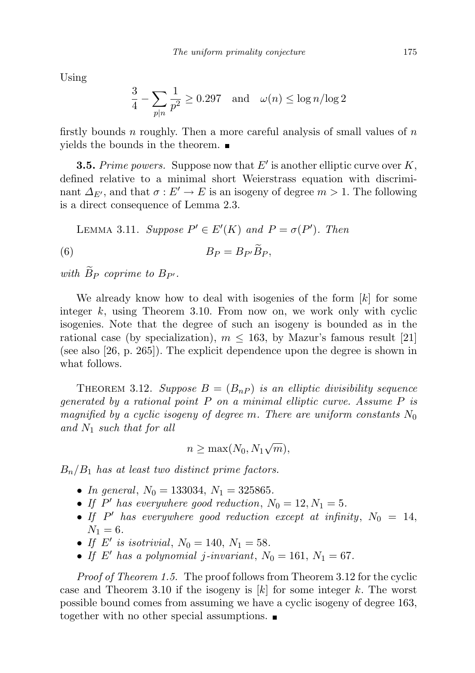Using

$$
\frac{3}{4} - \sum_{p|n} \frac{1}{p^2} \ge 0.297 \quad \text{and} \quad \omega(n) \le \log n / \log 2
$$

firstly bounds n roughly. Then a more careful analysis of small values of  $n$ yields the bounds in the theorem.

**3.5.** Prime powers. Suppose now that  $E'$  is another elliptic curve over  $K$ , defined relative to a minimal short Weierstrass equation with discriminant  $\Delta_{E'}$ , and that  $\sigma : E' \to E$  is an isogeny of degree  $m > 1$ . The following is a direct consequence of Lemma 2.3.

LEMMA 3.11. Suppose  $P' \in E'(K)$  and  $P = \sigma(P')$ . Then

$$
(6) \t\t\t B_P = B_{P'}\bar{B}_P,
$$

with  $\widetilde{B}_P$  coprime to  $B_{P'}$ .

We already know how to deal with isogenies of the form  $[k]$  for some integer  $k$ , using Theorem 3.10. From now on, we work only with cyclic isogenies. Note that the degree of such an isogeny is bounded as in the rational case (by specialization),  $m \leq 163$ , by Mazur's famous result [21] (see also [26, p. 265]). The explicit dependence upon the degree is shown in what follows.

THEOREM 3.12. Suppose  $B = (B_{nP})$  is an elliptic divisibility sequence generated by a rational point P on a minimal elliptic curve. Assume P is magnified by a cyclic isogeny of degree m. There are uniform constants  $N_0$ and  $N_1$  such that for all

$$
n \ge \max(N_0, N_1\sqrt{m}),
$$

 $B_n/B_1$  has at least two distinct prime factors.

- In general,  $N_0 = 133034$ ,  $N_1 = 325865$ .
- If P' has everywhere good reduction,  $N_0 = 12, N_1 = 5$ .
- If  $P'$  has everywhere good reduction except at infinity,  $N_0 = 14$ ,  $N_1 = 6$ .
- If E' is isotrivial,  $N_0 = 140, N_1 = 58$ .
- If E' has a polynomial j-invariant,  $N_0 = 161, N_1 = 67$ .

Proof of Theorem 1.5. The proof follows from Theorem 3.12 for the cyclic case and Theorem 3.10 if the isogeny is  $[k]$  for some integer k. The worst possible bound comes from assuming we have a cyclic isogeny of degree 163, together with no other special assumptions.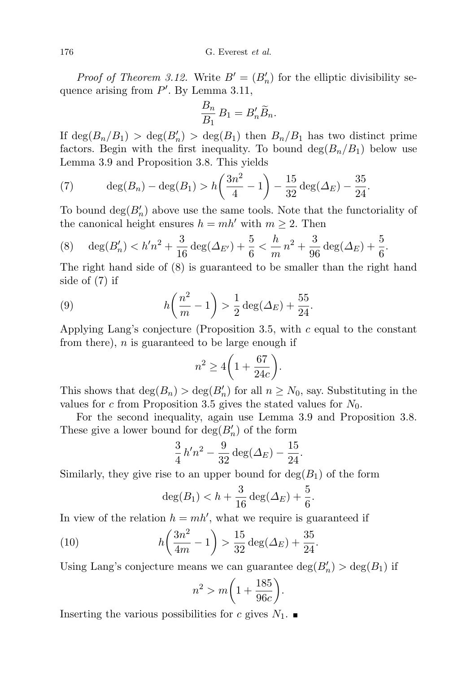176 G. Everest et al.

*Proof of Theorem 3.12.* Write  $B' = (B'_n)$  for the elliptic divisibility sequence arising from  $P'$ . By Lemma 3.11,

$$
\frac{B_n}{B_1} B_1 = B'_n \widetilde{B}_n.
$$

If  $\deg(B_n/B_1) > \deg(B'_n) > \deg(B_1)$  then  $B_n/B_1$  has two distinct prime factors. Begin with the first inequality. To bound  $\deg(B_n/B_1)$  below use Lemma 3.9 and Proposition 3.8. This yields

(7) 
$$
\deg(B_n) - \deg(B_1) > h\left(\frac{3n^2}{4} - 1\right) - \frac{15}{32}\deg(\Delta_E) - \frac{35}{24}.
$$

To bound  $deg(B'_n)$  above use the same tools. Note that the functoriality of the canonical height ensures  $h = mh'$  with  $m \geq 2$ . Then

(8) 
$$
\deg(B'_n) < h'n^2 + \frac{3}{16} \deg(\Delta_{E'}) + \frac{5}{6} < \frac{h}{m} n^2 + \frac{3}{96} \deg(\Delta_E) + \frac{5}{6}.
$$

The right hand side of (8) is guaranteed to be smaller than the right hand side of (7) if

(9) 
$$
h\left(\frac{n^2}{m} - 1\right) > \frac{1}{2}\deg(\Delta_E) + \frac{55}{24}.
$$

Applying Lang's conjecture (Proposition 3.5, with  $c$  equal to the constant from there),  $n$  is guaranteed to be large enough if

$$
n^2 \ge 4\bigg(1 + \frac{67}{24c}\bigg).
$$

This shows that  $\deg(B_n) > \deg(B'_n)$  for all  $n \geq N_0$ , say. Substituting in the values for c from Proposition 3.5 gives the stated values for  $N_0$ .

For the second inequality, again use Lemma 3.9 and Proposition 3.8. These give a lower bound for  $deg(B'_n)$  of the form

$$
\frac{3}{4}h'n^2 - \frac{9}{32}\deg(\Delta_E) - \frac{15}{24}.
$$

Similarly, they give rise to an upper bound for  $deg(B_1)$  of the form

$$
\deg(B_1) < h + \frac{3}{16} \deg(\Delta_E) + \frac{5}{6}.
$$

In view of the relation  $h = mh'$ , what we require is guaranteed if

(10) 
$$
h\left(\frac{3n^2}{4m} - 1\right) > \frac{15}{32} \deg(\Delta_E) + \frac{35}{24}
$$

Using Lang's conjecture means we can guarantee  $\deg(B'_n) > \deg(B_1)$  if

$$
n^2 > m \bigg( 1 + \frac{185}{96c} \bigg).
$$

.

Inserting the various possibilities for c gives  $N_1$ .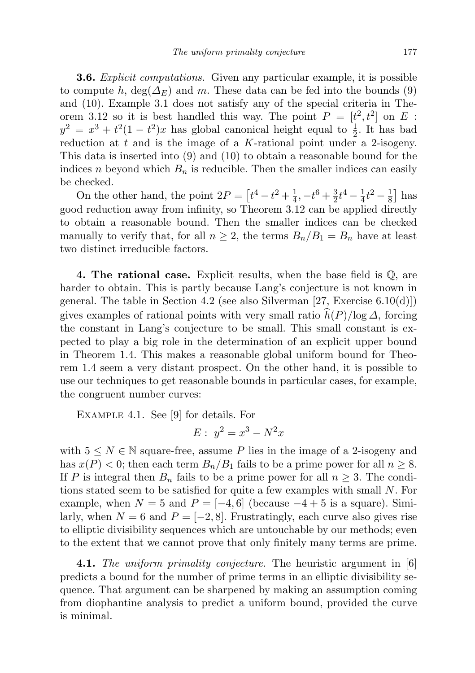**3.6.** Explicit computations. Given any particular example, it is possible to compute h,  $\deg(\Delta_E)$  and m. These data can be fed into the bounds (9) and (10). Example 3.1 does not satisfy any of the special criteria in Theorem 3.12 so it is best handled this way. The point  $P = [t^2, t^2]$  on E:  $y^2 = x^3 + t^2(1-t^2)x$  has global canonical height equal to  $\frac{1}{2}$ . It has bad reduction at  $t$  and is the image of a  $K$ -rational point under a 2-isogeny. This data is inserted into (9) and (10) to obtain a reasonable bound for the indices n beyond which  $B_n$  is reducible. Then the smaller indices can easily be checked.

On the other hand, the point  $2P = \left[t^4 - t^2 + \frac{1}{4}\right]$  $\frac{1}{4}$ ,  $-t^6 + \frac{3}{2}$  $\frac{3}{2}t^4 - \frac{1}{4}$  $\frac{1}{4}t^2 - \frac{1}{8}$  $\frac{1}{8}$  has good reduction away from infinity, so Theorem 3.12 can be applied directly to obtain a reasonable bound. Then the smaller indices can be checked manually to verify that, for all  $n \geq 2$ , the terms  $B_n/B_1 = B_n$  have at least two distinct irreducible factors.

**4. The rational case.** Explicit results, when the base field is  $\mathbb{Q}$ , are harder to obtain. This is partly because Lang's conjecture is not known in general. The table in Section 4.2 (see also Silverman [27, Exercise  $6.10(d)$ ]) gives examples of rational points with very small ratio  $\widehat{h}(P)/\log \Delta$ , forcing the constant in Lang's conjecture to be small. This small constant is expected to play a big role in the determination of an explicit upper bound in Theorem 1.4. This makes a reasonable global uniform bound for Theorem 1.4 seem a very distant prospect. On the other hand, it is possible to use our techniques to get reasonable bounds in particular cases, for example, the congruent number curves:

Example 4.1. See [9] for details. For

$$
E: y^2 = x^3 - N^2x
$$

with  $5 \leq N \in \mathbb{N}$  square-free, assume P lies in the image of a 2-isogeny and has  $x(P) < 0$ ; then each term  $B_n/B_1$  fails to be a prime power for all  $n \geq 8$ . If P is integral then  $B_n$  fails to be a prime power for all  $n \geq 3$ . The conditions stated seem to be satisfied for quite a few examples with small N. For example, when  $N = 5$  and  $P = [-4, 6]$  (because  $-4 + 5$  is a square). Similarly, when  $N = 6$  and  $P = [-2, 8]$ . Frustratingly, each curve also gives rise to elliptic divisibility sequences which are untouchable by our methods; even to the extent that we cannot prove that only finitely many terms are prime.

**4.1.** The uniform primality conjecture. The heuristic argument in [6] predicts a bound for the number of prime terms in an elliptic divisibility sequence. That argument can be sharpened by making an assumption coming from diophantine analysis to predict a uniform bound, provided the curve is minimal.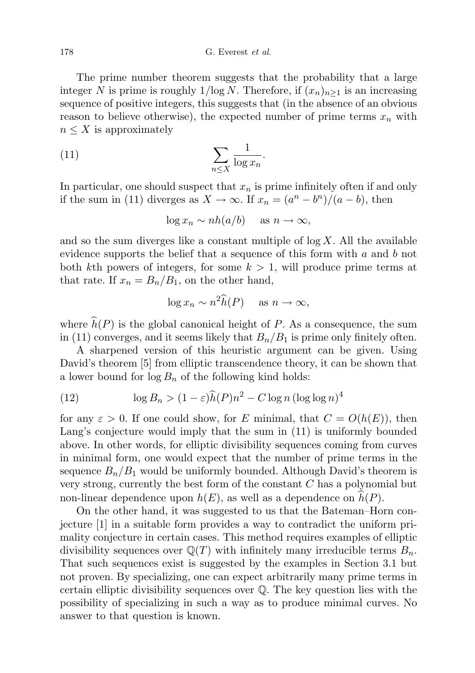The prime number theorem suggests that the probability that a large integer N is prime is roughly  $1/\log N$ . Therefore, if  $(x_n)_{n>1}$  is an increasing sequence of positive integers, this suggests that (in the absence of an obvious reason to believe otherwise), the expected number of prime terms  $x_n$  with  $n \leq X$  is approximately

$$
(11)\qquad \qquad \sum_{n\leq X}\frac{1}{\log x_n}.
$$

In particular, one should suspect that  $x_n$  is prime infinitely often if and only if the sum in (11) diverges as  $X \to \infty$ . If  $x_n = (a^n - b^n)/(a - b)$ , then

$$
\log x_n \sim nh(a/b) \quad \text{ as } n \to \infty,
$$

and so the sum diverges like a constant multiple of  $log X$ . All the available evidence supports the belief that a sequence of this form with  $a$  and  $b$  not both kth powers of integers, for some  $k > 1$ , will produce prime terms at that rate. If  $x_n = B_n/B_1$ , on the other hand,

$$
\log x_n \sim n^2 \widehat{h}(P) \quad \text{ as } n \to \infty,
$$

where  $\widehat{h}(P)$  is the global canonical height of P. As a consequence, the sum in (11) converges, and it seems likely that  $B_n/B_1$  is prime only finitely often.

A sharpened version of this heuristic argument can be given. Using David's theorem [5] from elliptic transcendence theory, it can be shown that a lower bound for  $\log B_n$  of the following kind holds:

(12) 
$$
\log B_n > (1 - \varepsilon) \widehat{h}(P) n^2 - C \log n (\log \log n)^4
$$

for any  $\varepsilon > 0$ . If one could show, for E minimal, that  $C = O(h(E))$ , then Lang's conjecture would imply that the sum in (11) is uniformly bounded above. In other words, for elliptic divisibility sequences coming from curves in minimal form, one would expect that the number of prime terms in the sequence  $B_n/B_1$  would be uniformly bounded. Although David's theorem is very strong, currently the best form of the constant  $C$  has a polynomial but non-linear dependence upon  $h(E)$ , as well as a dependence on  $h(P)$ .

On the other hand, it was suggested to us that the Bateman–Horn conjecture [1] in a suitable form provides a way to contradict the uniform primality conjecture in certain cases. This method requires examples of elliptic divisibility sequences over  $\mathbb{Q}(T)$  with infinitely many irreducible terms  $B_n$ . That such sequences exist is suggested by the examples in Section 3.1 but not proven. By specializing, one can expect arbitrarily many prime terms in certain elliptic divisibility sequences over  $\mathbb Q$ . The key question lies with the possibility of specializing in such a way as to produce minimal curves. No answer to that question is known.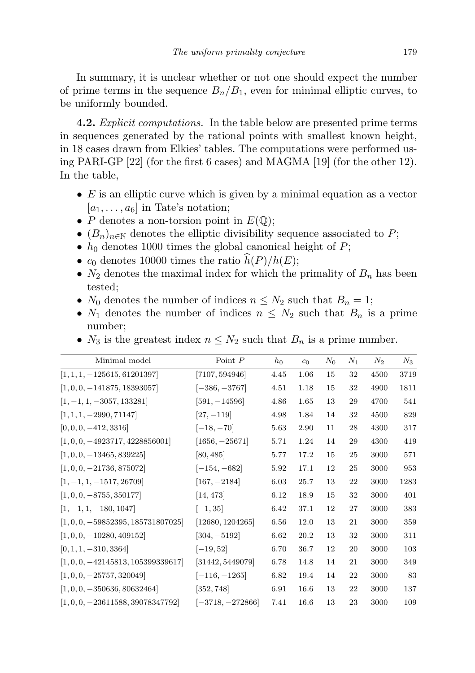In summary, it is unclear whether or not one should expect the number of prime terms in the sequence  $B_n/B_1$ , even for minimal elliptic curves, to be uniformly bounded.

**4.2.** Explicit computations. In the table below are presented prime terms in sequences generated by the rational points with smallest known height, in 18 cases drawn from Elkies' tables. The computations were performed using PARI-GP [22] (for the first 6 cases) and MAGMA [19] (for the other 12). In the table,

- $\bullet$  E is an elliptic curve which is given by a minimal equation as a vector  $[a_1, \ldots, a_6]$  in Tate's notation;
- P denotes a non-torsion point in  $E(\mathbb{Q});$
- $(B_n)_{n\in\mathbb{N}}$  denotes the elliptic divisibility sequence associated to P;
- $h_0$  denotes 1000 times the global canonical height of  $P$ ;
- $c_0$  denotes 10000 times the ratio  $\widehat{h}(P)/h(E)$ ;
- $N_2$  denotes the maximal index for which the primality of  $B_n$  has been tested;
- $N_0$  denotes the number of indices  $n \leq N_2$  such that  $B_n = 1$ ;
- $N_1$  denotes the number of indices  $n \leq N_2$  such that  $B_n$  is a prime number;
- $N_3$  is the greatest index  $n \leq N_2$  such that  $B_n$  is a prime number.

| Minimal model                          | Point $P$          | $h_0$ | c <sub>0</sub> | $N_0$ | $N_1$ | $N_2$ | $N_3$ |
|----------------------------------------|--------------------|-------|----------------|-------|-------|-------|-------|
| $[1, 1, 1, -125615, 61201397]$         | [7107, 594946]     | 4.45  | 1.06           | 15    | 32    | 4500  | 3719  |
| $[1, 0, 0, -141875, 18393057]$         | $[-386, -3767]$    | 4.51  | 1.18           | 15    | 32    | 4900  | 1811  |
| $\left[1, -1, 1, -3057, 133281\right]$ | $[591, -14596]$    | 4.86  | 1.65           | 13    | 29    | 4700  | 541   |
| $[1, 1, 1, -2990, 71147]$              | $[27, -119]$       | 4.98  | 1.84           | 14    | 32    | 4500  | 829   |
| $[0, 0, 0, -412, 3316]$                | $[-18, -70]$       | 5.63  | 2.90           | 11    | 28    | 4300  | 317   |
| $[1, 0, 0, -4923717, 4228856001]$      | $[1656, -25671]$   | 5.71  | 1.24           | 14    | 29    | 4300  | 419   |
| $[1, 0, 0, -13465, 839225]$            | [80, 485]          | 5.77  | 17.2           | 15    | 25    | 3000  | 571   |
| $[1, 0, 0, -21736, 875072]$            | $[-154, -682]$     | 5.92  | 17.1           | 12    | 25    | 3000  | 953   |
| $[1, -1, 1, -1517, 26709]$             | $[167, -2184]$     | 6.03  | 25.7           | 13    | 22    | 3000  | 1283  |
| $[1, 0, 0, -8755, 350177]$             | [14, 473]          | 6.12  | 18.9           | 15    | 32    | 3000  | 401   |
| $\left[1, -1, 1, -180, 1047\right]$    | $[-1, 35]$         | 6.42  | 37.1           | 12    | 27    | 3000  | 383   |
| $[1, 0, 0, -59852395, 185731807025]$   | [12680, 1204265]   | 6.56  | 12.0           | 13    | 21    | 3000  | 359   |
| $[1, 0, 0, -10280, 409152]$            | $[304, -5192]$     | 6.62  | 20.2           | 13    | 32    | 3000  | 311   |
| $[0, 1, 1, -310, 3364]$                | $[-19, 52]$        | 6.70  | 36.7           | 12    | 20    | 3000  | 103   |
| $[1, 0, 0, -42145813, 105399339617]$   | [31442, 5449079]   | 6.78  | 14.8           | 14    | 21    | 3000  | 349   |
| $[1, 0, 0, -25757, 320049]$            | $[-116, -1265]$    | 6.82  | 19.4           | 14    | 22    | 3000  | 83    |
| $[1, 0, 0, -350636, 80632464]$         | [352, 748]         | 6.91  | 16.6           | 13    | 22    | 3000  | 137   |
| $[1, 0, 0, -23611588, 39078347792]$    | $[-3718, -272866]$ | 7.41  | 16.6           | 13    | 23    | 3000  | 109   |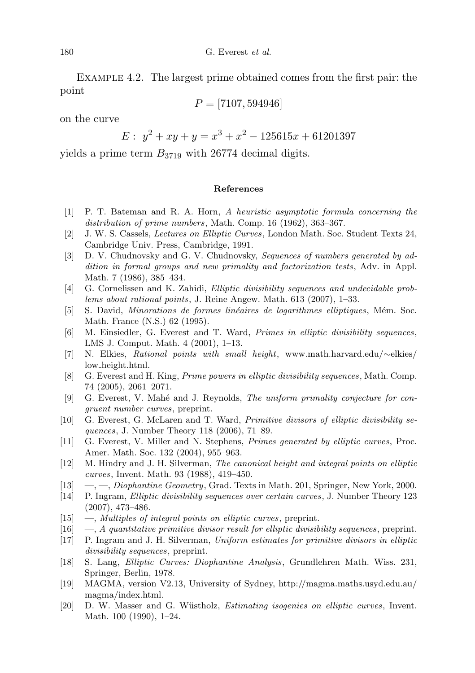Example 4.2. The largest prime obtained comes from the first pair: the point

$$
P = [7107, 594946]
$$

on the curve

$$
E: y^2 + xy + y = x^3 + x^2 - 125615x + 61201397
$$

yields a prime term  $B_{3719}$  with 26774 decimal digits.

## References

- [1] P. T. Bateman and R. A. Horn, A heuristic asymptotic formula concerning the distribution of prime numbers, Math. Comp. 16 (1962), 363–367.
- [2] J. W. S. Cassels, Lectures on Elliptic Curves, London Math. Soc. Student Texts 24, Cambridge Univ. Press, Cambridge, 1991.
- [3] D. V. Chudnovsky and G. V. Chudnovsky, Sequences of numbers generated by addition in formal groups and new primality and factorization tests, Adv. in Appl. Math. 7 (1986), 385–434.
- [4] G. Cornelissen and K. Zahidi, Elliptic divisibility sequences and undecidable problems about rational points, J. Reine Angew. Math. 613 (2007), 1–33.
- [5] S. David, Minorations de formes linéaires de logarithmes elliptiques, Mém. Soc. Math. France (N.S.) 62 (1995).
- [6] M. Einsiedler, G. Everest and T. Ward, Primes in elliptic divisibility sequences, LMS J. Comput. Math. 4 (2001), 1–13.
- [7] N. Elkies, Rational points with small height, www.math.harvard.edu/∼elkies/ low height.html.
- [8] G. Everest and H. King, Prime powers in elliptic divisibility sequences, Math. Comp. 74 (2005), 2061–2071.
- [9] G. Everest, V. Mahé and J. Reynolds, The uniform primality conjecture for congruent number curves, preprint.
- [10] G. Everest, G. McLaren and T. Ward, Primitive divisors of elliptic divisibility sequences, J. Number Theory 118 (2006), 71–89.
- [11] G. Everest, V. Miller and N. Stephens, Primes generated by elliptic curves, Proc. Amer. Math. Soc. 132 (2004), 955–963.
- [12] M. Hindry and J. H. Silverman, The canonical height and integral points on elliptic curves, Invent. Math. 93 (1988), 419–450.
- [13] —, —, Diophantine Geometry, Grad. Texts in Math. 201, Springer, New York, 2000.
- [14] P. Ingram, Elliptic divisibility sequences over certain curves, J. Number Theory 123 (2007), 473–486.
- [15] —, Multiples of integral points on elliptic curves, preprint.
- $[16] \quad -$ , A quantitative primitive divisor result for elliptic divisibility sequences, preprint.
- [17] P. Ingram and J. H. Silverman, Uniform estimates for primitive divisors in elliptic divisibility sequences, preprint.
- [18] S. Lang, Elliptic Curves: Diophantine Analysis, Grundlehren Math. Wiss. 231, Springer, Berlin, 1978.
- [19] MAGMA, version V2.13, University of Sydney, http://magma.maths.usyd.edu.au/ magma/index.html.
- [20] D. W. Masser and G. Wüstholz, *Estimating isogenies on elliptic curves*, Invent. Math. 100 (1990), 1–24.